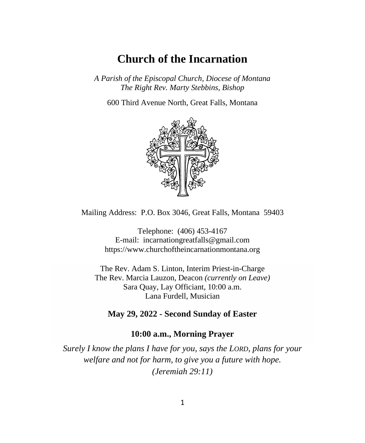## **Church of the Incarnation**

*A Parish of the Episcopal Church, Diocese of Montana The Right Rev. Marty Stebbins, Bishop*

600 Third Avenue North, Great Falls, Montana



Mailing Address: P.O. Box 3046, Great Falls, Montana 59403

Telephone: (406) 453-4167 E-mail: [incarnationgreatfalls@gmail.com](mailto:incarnationgreatfalls@gmail.com) https://www.churchoftheincarnationmontana.org

The Rev. Adam S. Linton, Interim Priest-in-Charge The Rev. Marcia Lauzon, Deacon *(currently on Leave)* Sara Quay, Lay Officiant, 10:00 a.m. Lana Furdell, Musician

**May 29, 2022 - Second Sunday of Easter**

#### **10:00 a.m., Morning Prayer**

*Surely I know the plans I have for you, says the LORD, plans for your welfare and not for harm, to give you a future with hope. (Jeremiah 29:11)*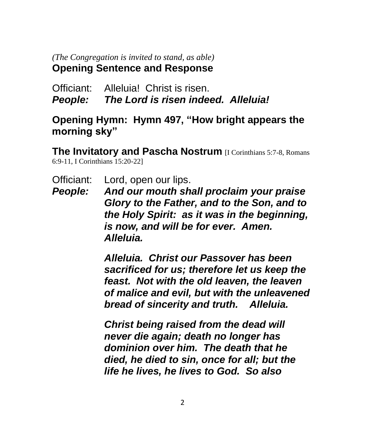#### *(The Congregation is invited to stand, as able)* **Opening Sentence and Response**

Officiant: Alleluia! Christ is risen. *People: The Lord is risen indeed. Alleluia!*

#### **Opening Hymn: Hymn 497, "How bright appears the morning sky"**

**The Invitatory and Pascha Nostrum** [I Corinthians 5:7-8, Romans 6:9-11, I Corinthians 15:20-22]

- Officiant: Lord, open our lips.
- *People: And our mouth shall proclaim your praise Glory to the Father, and to the Son, and to the Holy Spirit: as it was in the beginning, is now, and will be for ever. Amen. Alleluia.*

*Alleluia. Christ our Passover has been sacrificed for us; therefore let us keep the feast. Not with the old leaven, the leaven of malice and evil, but with the unleavened bread of sincerity and truth. Alleluia.*

*Christ being raised from the dead will never die again; death no longer has dominion over him. The death that he died, he died to sin, once for all; but the life he lives, he lives to God. So also*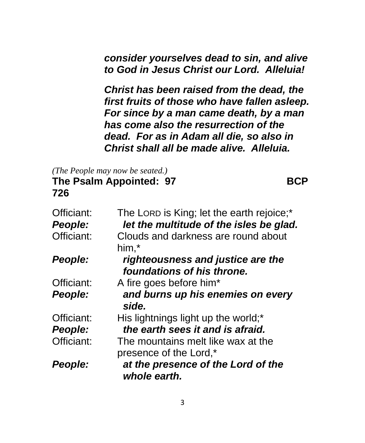*consider yourselves dead to sin, and alive to God in Jesus Christ our Lord. Alleluia!*

*Christ has been raised from the dead, the first fruits of those who have fallen asleep. For since by a man came death, by a man has come also the resurrection of the dead. For as in Adam all die, so also in Christ shall all be made alive. Alleluia.*

*(The People may now be seated.)* **The Psalm Appointed: 97 BCP** 

**726**

| Officiant: | The LORD is King; let the earth rejoice;*                       |
|------------|-----------------------------------------------------------------|
| People:    | let the multitude of the isles be glad.                         |
| Officiant: | Clouds and darkness are round about                             |
|            | him,*                                                           |
| People:    | righteousness and justice are the<br>foundations of his throne. |
| Officiant: | A fire goes before him*                                         |
| People:    | and burns up his enemies on every<br>side.                      |
| Officiant: | His lightnings light up the world;*                             |
| People:    | the earth sees it and is afraid.                                |
| Officiant: | The mountains melt like wax at the<br>presence of the Lord,*    |
| People:    | at the presence of the Lord of the<br>whole earth.              |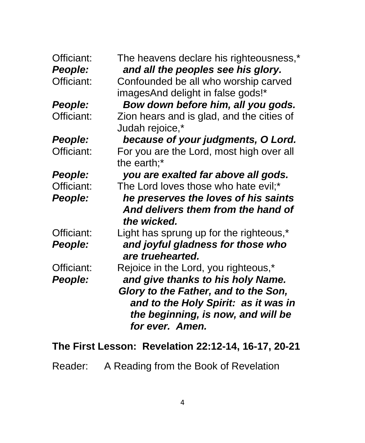| Officiant:<br>People: | The heavens declare his righteousness,*<br>and all the peoples see his glory.                                                         |
|-----------------------|---------------------------------------------------------------------------------------------------------------------------------------|
| Officiant:            | Confounded be all who worship carved<br>imagesAnd delight in false gods!*                                                             |
| People:               | Bow down before him, all you gods.                                                                                                    |
| Officiant:            | Zion hears and is glad, and the cities of<br>Judah rejoice,*                                                                          |
| People:               | because of your judgments, O Lord.                                                                                                    |
| Officiant:            | For you are the Lord, most high over all<br>the earth;*                                                                               |
| People:               | you are exalted far above all gods.                                                                                                   |
| Officiant:            | The Lord loves those who hate evil;*                                                                                                  |
| People:               | he preserves the loves of his saints<br>And delivers them from the hand of<br>the wicked.                                             |
| Officiant:<br>People: | Light has sprung up for the righteous,*<br>and joyful gladness for those who<br>are truehearted.                                      |
| Officiant:            | Rejoice in the Lord, you righteous,*                                                                                                  |
| People:               | and give thanks to his holy Name.                                                                                                     |
|                       | Glory to the Father, and to the Son,<br>and to the Holy Spirit: as it was in<br>the beginning, is now, and will be<br>for ever. Amen. |

# **The First Lesson: Revelation 22:12-14, 16-17, 20-21**

Reader: A Reading from the Book of Revelation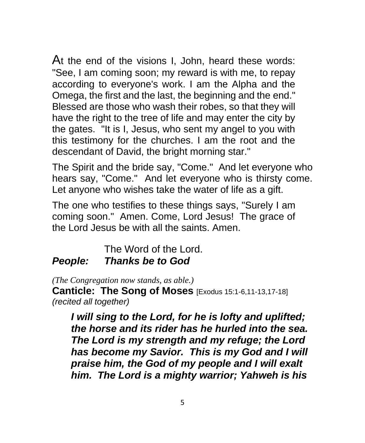At the end of the visions I, John, heard these words: "See, I am coming soon; my reward is with me, to repay according to everyone's work. I am the Alpha and the Omega, the first and the last, the beginning and the end." Blessed are those who wash their robes, so that they will have the right to the tree of life and may enter the city by the gates. "It is I, Jesus, who sent my angel to you with this testimony for the churches. I am the root and the descendant of David, the bright morning star."

The Spirit and the bride say, "Come." And let everyone who hears say, "Come." And let everyone who is thirsty come. Let anyone who wishes take the water of life as a gift.

The one who testifies to these things says, "Surely I am coming soon." Amen. Come, Lord Jesus! The grace of the Lord Jesus be with all the saints. Amen.

#### The Word of the Lord. *People: Thanks be to God*

*(The Congregation now stands, as able.)*

**Canticle: The Song of Moses** [Exodus 15:1-6,11-13,17-18] *(recited all together)*

*I will sing to the Lord, for he is lofty and uplifted; the horse and its rider has he hurled into the sea. The Lord is my strength and my refuge; the Lord has become my Savior. This is my God and I will praise him, the God of my people and I will exalt him. The Lord is a mighty warrior; Yahweh is his*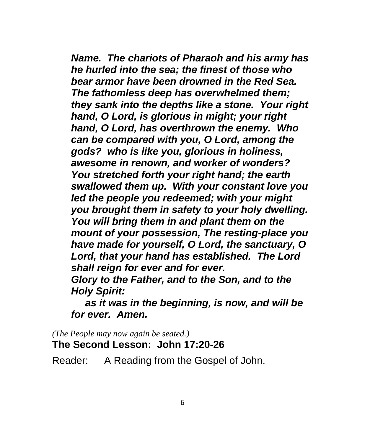*Name. The chariots of Pharaoh and his army has he hurled into the sea; the finest of those who bear armor have been drowned in the Red Sea. The fathomless deep has overwhelmed them; they sank into the depths like a stone. Your right hand, O Lord, is glorious in might; your right hand, O Lord, has overthrown the enemy. Who can be compared with you, O Lord, among the gods? who is like you, glorious in holiness, awesome in renown, and worker of wonders? You stretched forth your right hand; the earth swallowed them up. With your constant love you led the people you redeemed; with your might you brought them in safety to your holy dwelling. You will bring them in and plant them on the mount of your possession, The resting-place you have made for yourself, O Lord, the sanctuary, O Lord, that your hand has established. The Lord shall reign for ever and for ever. Glory to the Father, and to the Son, and to the Holy Spirit:* 

 *as it was in the beginning, is now, and will be for ever. Amen.*

*(The People may now again be seated.)* **The Second Lesson: John 17:20-26**

Reader: A Reading from the Gospel of John.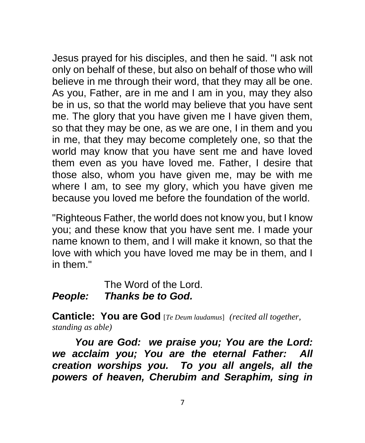Jesus prayed for his disciples, and then he said. "I ask not only on behalf of these, but also on behalf of those who will believe in me through their word, that they may all be one. As you, Father, are in me and I am in you, may they also be in us, so that the world may believe that you have sent me. The glory that you have given me I have given them, so that they may be one, as we are one, I in them and you in me, that they may become completely one, so that the world may know that you have sent me and have loved them even as you have loved me. Father, I desire that those also, whom you have given me, may be with me where I am, to see my glory, which you have given me because you loved me before the foundation of the world.

"Righteous Father, the world does not know you, but I know you; and these know that you have sent me. I made your name known to them, and I will make it known, so that the love with which you have loved me may be in them, and I in them."

The Word of the Lord. *People: Thanks be to God.*

**Canticle: You are God** [*Te Deum laudamus*]*(recited all together, standing as able)*

*You are God: we praise you; You are the Lord: we acclaim you; You are the eternal Father: All creation worships you. To you all angels, all the powers of heaven, Cherubim and Seraphim, sing in*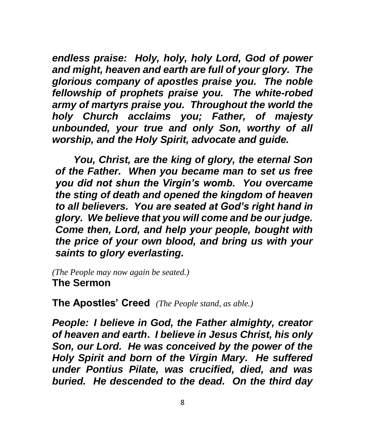*endless praise: Holy, holy, holy Lord, God of power and might, heaven and earth are full of your glory. The glorious company of apostles praise you. The noble fellowship of prophets praise you. The white-robed army of martyrs praise you. Throughout the world the holy Church acclaims you; Father, of majesty unbounded, your true and only Son, worthy of all worship, and the Holy Spirit, advocate and guide.*

*You, Christ, are the king of glory, the eternal Son of the Father. When you became man to set us free you did not shun the Virgin's womb. You overcame the sting of death and opened the kingdom of heaven to all believers. You are seated at God's right hand in glory. We believe that you will come and be our judge. Come then, Lord, and help your people, bought with the price of your own blood, and bring us with your saints to glory everlasting.*

*(The People may now again be seated.)* **The Sermon**

**The Apostles' Creed** *(The People stand, as able.)*

*People: I believe in God, the Father almighty, creator of heaven and earth***.** *I believe in Jesus Christ, his only Son, our Lord. He was conceived by the power of the Holy Spirit and born of the Virgin Mary. He suffered under Pontius Pilate, was crucified, died, and was buried. He descended to the dead. On the third day*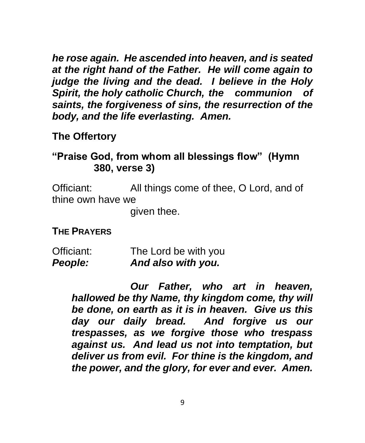*he rose again. He ascended into heaven, and is seated at the right hand of the Father. He will come again to judge the living and the dead. I believe in the Holy Spirit, the holy catholic Church, the communion of saints, the forgiveness of sins, the resurrection of the body, and the life everlasting. Amen.*

### **The Offertory**

## **"Praise God, from whom all blessings flow" (Hymn 380, verse 3)**

Officiant: All things come of thee, O Lord, and of thine own have we

given thee.

#### **THE PRAYERS**

| People:    | And also with you.   |
|------------|----------------------|
| Officiant: | The Lord be with you |

*Our Father, who art in heaven, hallowed be thy Name, thy kingdom come, thy will be done, on earth as it is in heaven. Give us this day our daily bread. And forgive us our trespasses, as we forgive those who trespass against us. And lead us not into temptation, but deliver us from evil. For thine is the kingdom, and the power, and the glory, for ever and ever. Amen.*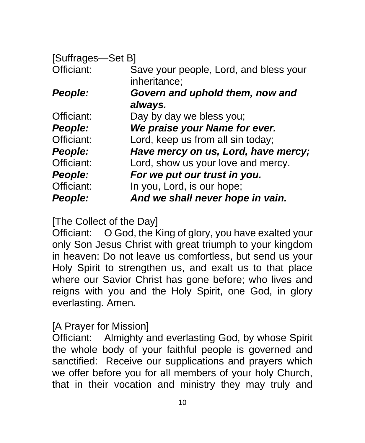| [Suffrages-Set B] |                                                        |
|-------------------|--------------------------------------------------------|
| Officiant:        | Save your people, Lord, and bless your<br>inheritance; |
| People:           | Govern and uphold them, now and                        |
|                   | always.                                                |
| Officiant:        | Day by day we bless you;                               |
| People:           | We praise your Name for ever.                          |
| Officiant:        | Lord, keep us from all sin today;                      |
| People:           | Have mercy on us, Lord, have mercy;                    |
| Officiant:        | Lord, show us your love and mercy.                     |
| People:           | For we put our trust in you.                           |
| Officiant:        | In you, Lord, is our hope;                             |
| People:           | And we shall never hope in vain.                       |

[The Collect of the Day]

Officiant: O God, the King of glory, you have exalted your only Son Jesus Christ with great triumph to your kingdom in heaven: Do not leave us comfortless, but send us your Holy Spirit to strengthen us, and exalt us to that place where our Savior Christ has gone before; who lives and reigns with you and the Holy Spirit, one God, in glory everlasting. Amen*.*

### [A Prayer for Mission]

Officiant: Almighty and everlasting God, by whose Spirit the whole body of your faithful people is governed and sanctified: Receive our supplications and prayers which we offer before you for all members of your holy Church, that in their vocation and ministry they may truly and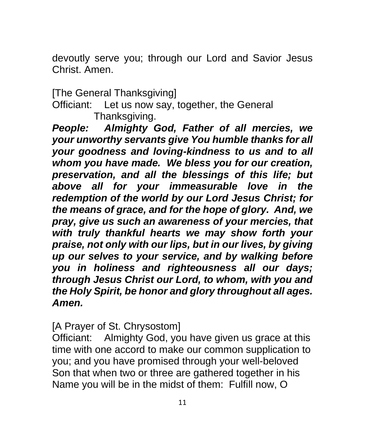devoutly serve you; through our Lord and Savior Jesus Christ. Amen.

[The General Thanksgiving]

Officiant: Let us now say, together, the General Thanksgiving.

*People: Almighty God, Father of all mercies, we your unworthy servants give You humble thanks for all your goodness and loving-kindness to us and to all whom you have made. We bless you for our creation, preservation, and all the blessings of this life; but above all for your immeasurable love in the redemption of the world by our Lord Jesus Christ; for the means of grace, and for the hope of glory. And, we pray, give us such an awareness of your mercies, that with truly thankful hearts we may show forth your praise, not only with our lips, but in our lives, by giving up our selves to your service, and by walking before you in holiness and righteousness all our days; through Jesus Christ our Lord, to whom, with you and the Holy Spirit, be honor and glory throughout all ages. Amen.*

[A Prayer of St. Chrysostom]

Officiant: Almighty God, you have given us grace at this time with one accord to make our common supplication to you; and you have promised through your well-beloved Son that when two or three are gathered together in his Name you will be in the midst of them: Fulfill now, O